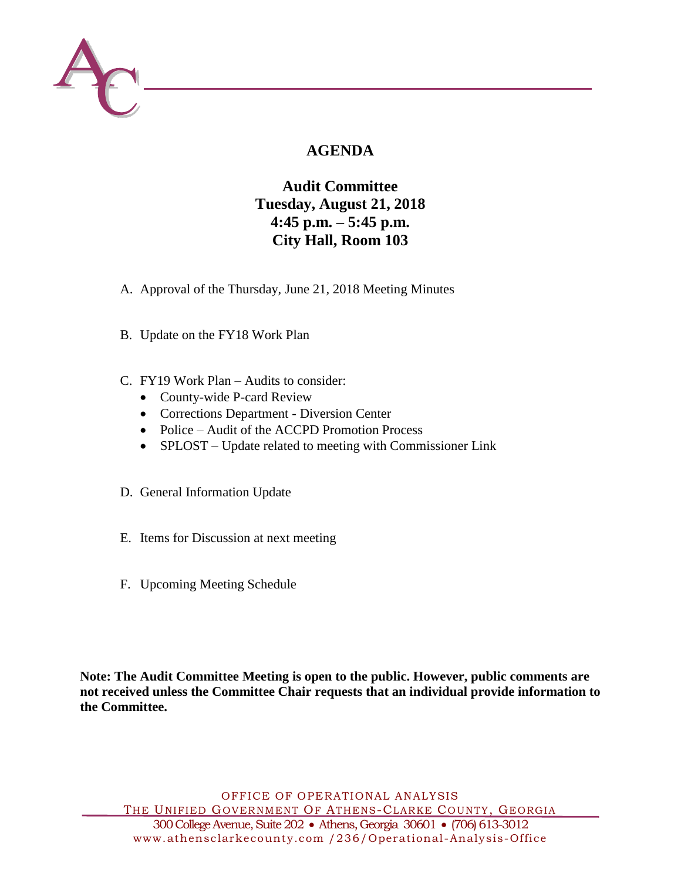

# **AGENDA**

# **Audit Committee Tuesday, August 21, 2018 4:45 p.m. – 5:45 p.m. City Hall, Room 103**

- A. Approval of the Thursday, June 21, 2018 Meeting Minutes
- B. Update on the FY18 Work Plan
- C. FY19 Work Plan Audits to consider:
	- County-wide P-card Review
	- Corrections Department Diversion Center
	- Police Audit of the ACCPD Promotion Process
	- SPLOST Update related to meeting with Commissioner Link
- D. General Information Update
- E. Items for Discussion at next meeting
- F. Upcoming Meeting Schedule

**Note: The Audit Committee Meeting is open to the public. However, public comments are not received unless the Committee Chair requests that an individual provide information to the Committee.**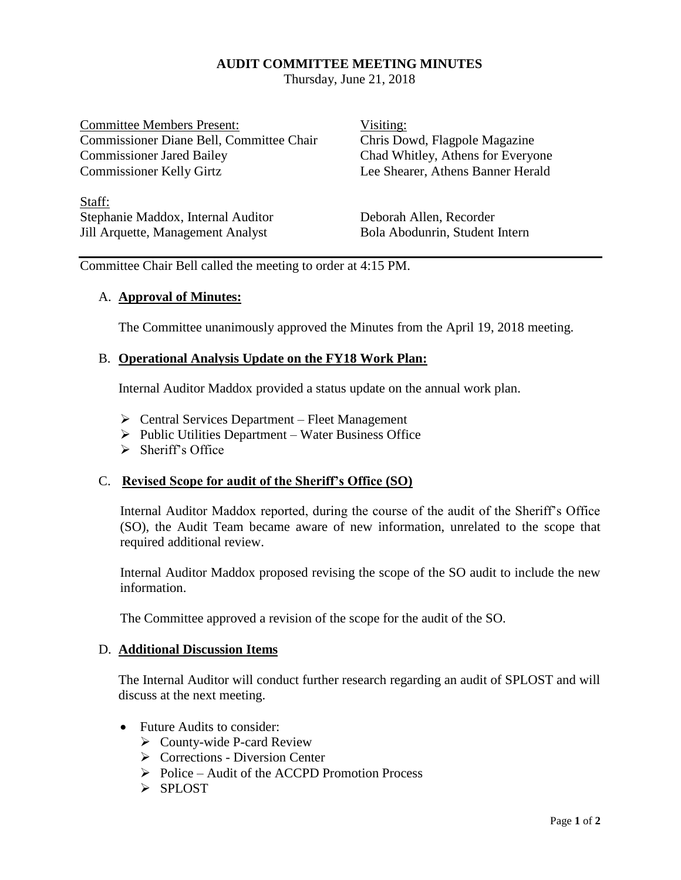# **AUDIT COMMITTEE MEETING MINUTES**

Thursday, June 21, 2018

Committee Members Present: Visiting: Commissioner Diane Bell, Committee Chair Chris Dowd, Flagpole Magazine Commissioner Jared Bailey Chad Whitley, Athens for Everyone Commissioner Kelly Girtz Lee Shearer, Athens Banner Herald

Staff: Stephanie Maddox, Internal Auditor Deborah Allen, Recorder Jill Arquette, Management Analyst Bola Abodunrin, Student Intern

Committee Chair Bell called the meeting to order at 4:15 PM.

# A. **Approval of Minutes:**

The Committee unanimously approved the Minutes from the April 19, 2018 meeting.

# B. **Operational Analysis Update on the FY18 Work Plan:**

Internal Auditor Maddox provided a status update on the annual work plan.

- $\triangleright$  Central Services Department Fleet Management
- $\triangleright$  Public Utilities Department Water Business Office
- $\triangleright$  Sheriff's Office

# C. **Revised Scope for audit of the Sheriff's Office (SO)**

Internal Auditor Maddox reported, during the course of the audit of the Sheriff's Office (SO), the Audit Team became aware of new information, unrelated to the scope that required additional review.

Internal Auditor Maddox proposed revising the scope of the SO audit to include the new information.

The Committee approved a revision of the scope for the audit of the SO.

## D. **Additional Discussion Items**

The Internal Auditor will conduct further research regarding an audit of SPLOST and will discuss at the next meeting.

- Future Audits to consider:
	- $\triangleright$  County-wide P-card Review
	- $\triangleright$  Corrections Diversion Center
	- $\triangleright$  Police Audit of the ACCPD Promotion Process
	- > SPLOST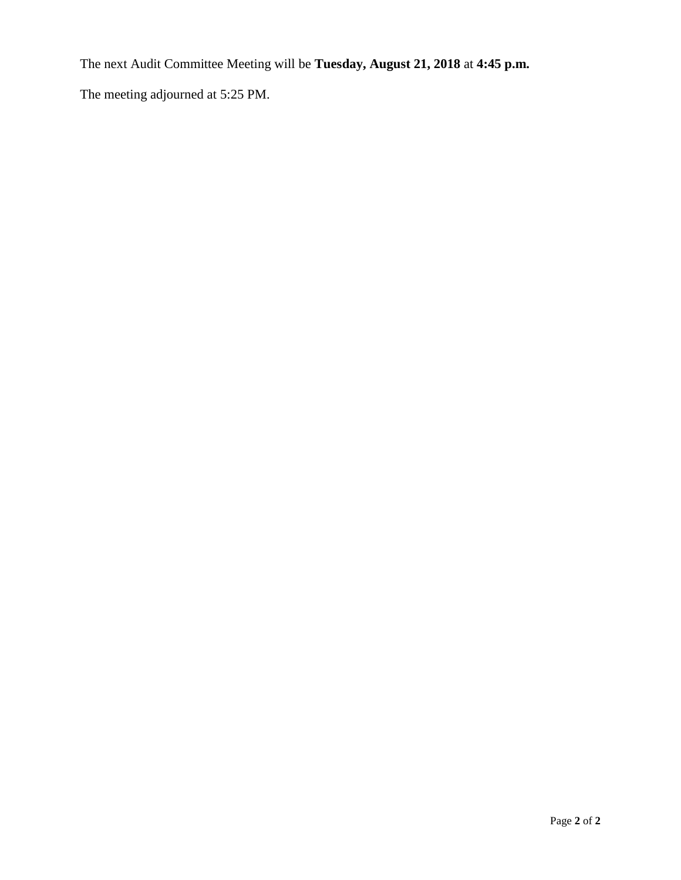The next Audit Committee Meeting will be **Tuesday, August 21, 2018** at **4:45 p.m.**

The meeting adjourned at 5:25 PM.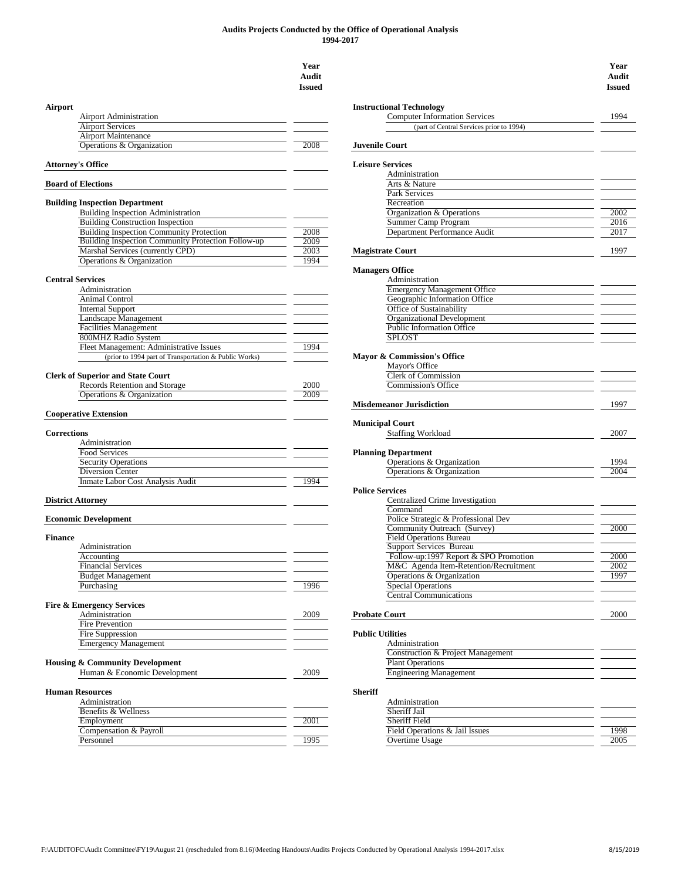#### **Audits Projects Conducted by the Office of Operational Analysis 1994-2017**

## **Year Audit Issued Airport Instructional Technology** Airport Administration Airport Services Airport Maintenance **Operations & Organization** 2008 **Attorney's Office Board of Elections Building Inspection Department** Building Inspection Administration Building Construction Inspection<br>
Building Inspection Community Protection<br>
2008 Building Inspection Community Protection<br>Building Inspection Community Protection Follow-up Building Inspection Community Protection Follow-up 2009<br>Marshal Services (currently CPD) **Marshal Services (currently CPD)** Operations & Organization 1994 **Central Services** Administration Animal Control Internal Support Landscape Management Facilities Management 800MHZ Radio System Fleet Management: Administrative Issues 1994 (prior to 1994 part of Transportation & Public Works) **Clerk of Superior and State Court**<br>Records Retention and Storage 2000 Records Retention and Storage **Operations & Organization** 2009 **Cooperative Extension** Administration **Food Services** Security Operations Diversion Center<br>
Inmate Labor Cost Analysis Audit<br>
1994 Inmate Labor Cost Analysis Audit **District Attorney Economic Development Finance Field Operations Bureau** Administration Financial Services Budget Management Purchasing Special Operations and the 1996 Special Operations Special Operations Special Operations **Fire & Emergency Services** Fire Prevention Fire Suppression **Public Utilities** Emergency Management **Administration** Administration **Housing & Community Development** Human & Economic Development 2009 **Human Resources Administration** Benefits & Wellness<br>
Employment 2001 Employment Compensation & Payroll

| <b>Instructional Technology</b><br>Airport<br><b>Computer Information Services</b><br><b>Airport Administration</b><br><b>Airport Services</b><br>(part of Central Services prior to 1994)<br><b>Airport Maintenance</b><br>Operations & Organization<br>2008<br><b>Juvenile Court</b> | 1994<br>2002<br>2016 |
|----------------------------------------------------------------------------------------------------------------------------------------------------------------------------------------------------------------------------------------------------------------------------------------|----------------------|
|                                                                                                                                                                                                                                                                                        |                      |
|                                                                                                                                                                                                                                                                                        |                      |
|                                                                                                                                                                                                                                                                                        |                      |
|                                                                                                                                                                                                                                                                                        |                      |
|                                                                                                                                                                                                                                                                                        |                      |
| <b>Leisure Services</b>                                                                                                                                                                                                                                                                |                      |
| Attorney's Office<br>Administration                                                                                                                                                                                                                                                    |                      |
| <b>Board of Elections</b><br>Arts & Nature                                                                                                                                                                                                                                             |                      |
| Park Services<br>Recreation                                                                                                                                                                                                                                                            |                      |
| <b>Building Inspection Department</b><br>Organization & Operations<br>Building Inspection Administration                                                                                                                                                                               |                      |
| <b>Building Construction Inspection</b><br><b>Summer Camp Program</b>                                                                                                                                                                                                                  |                      |
| <b>Building Inspection Community Protection</b><br>Department Performance Audit<br>2008                                                                                                                                                                                                | 2017                 |
| Building Inspection Community Protection Follow-up<br>2009                                                                                                                                                                                                                             |                      |
| Marshal Services (currently CPD)<br>2003<br><b>Magistrate Court</b>                                                                                                                                                                                                                    | 1997                 |
| Operations & Organization<br>1994                                                                                                                                                                                                                                                      |                      |
| <b>Managers Office</b>                                                                                                                                                                                                                                                                 |                      |
| <b>Central Services</b><br>Administration                                                                                                                                                                                                                                              |                      |
| <b>Emergency Management Office</b><br>Administration                                                                                                                                                                                                                                   |                      |
| Animal Control                                                                                                                                                                                                                                                                         |                      |
| Geographic Information Office<br>Office of Sustainability                                                                                                                                                                                                                              |                      |
| <b>Internal Support</b><br>Landscape Management                                                                                                                                                                                                                                        |                      |
| <b>Organizational Development</b><br><b>Facilities Management</b><br><b>Public Information Office</b>                                                                                                                                                                                  |                      |
| 800MHZ Radio System                                                                                                                                                                                                                                                                    |                      |
| <b>SPLOST</b><br>Fleet Management: Administrative Issues                                                                                                                                                                                                                               |                      |
| 1994                                                                                                                                                                                                                                                                                   |                      |
| (prior to 1994 part of Transportation & Public Works)<br>Mayor & Commission's Office<br>Mayor's Office                                                                                                                                                                                 |                      |
|                                                                                                                                                                                                                                                                                        |                      |
| <b>Clerk of Commission</b><br><b>Clerk of Superior and State Court</b>                                                                                                                                                                                                                 |                      |
| Records Retention and Storage<br><b>Commission's Office</b><br>2000                                                                                                                                                                                                                    |                      |
| Operations & Organization<br>2009                                                                                                                                                                                                                                                      |                      |
| <b>Misdemeanor Jurisdiction</b><br><b>Cooperative Extension</b>                                                                                                                                                                                                                        | 1997                 |
| <b>Municipal Court</b>                                                                                                                                                                                                                                                                 |                      |
| Corrections<br><b>Staffing Workload</b>                                                                                                                                                                                                                                                | 2007                 |
| Administration                                                                                                                                                                                                                                                                         |                      |
| Food Services<br><b>Planning Department</b>                                                                                                                                                                                                                                            |                      |
| <b>Security Operations</b><br>Operations & Organization                                                                                                                                                                                                                                | 1994                 |
| Diversion Center<br>Operations & Organization                                                                                                                                                                                                                                          | 2004                 |
| Inmate Labor Cost Analysis Audit<br>1994                                                                                                                                                                                                                                               |                      |
| <b>Police Services</b>                                                                                                                                                                                                                                                                 |                      |
| Centralized Crime Investigation<br><b>District Attorney</b>                                                                                                                                                                                                                            |                      |
| Command                                                                                                                                                                                                                                                                                |                      |
| <b>Economic Development</b><br>Police Strategic & Professional Dev                                                                                                                                                                                                                     |                      |
| Community Outreach (Survey)                                                                                                                                                                                                                                                            | 2000                 |
| <b>Finance</b><br><b>Field Operations Bureau</b>                                                                                                                                                                                                                                       |                      |
| <b>Support Services Bureau</b><br>Administration                                                                                                                                                                                                                                       |                      |
| Follow-up:1997 Report & SPO Promotion<br>Accounting                                                                                                                                                                                                                                    | 2000                 |
| M&C Agenda Item-Retention/Recruitment<br><b>Financial Services</b>                                                                                                                                                                                                                     | 2002                 |
| Operations & Organization<br><b>Budget Management</b>                                                                                                                                                                                                                                  | 1997                 |
| 1996<br><b>Special Operations</b>                                                                                                                                                                                                                                                      |                      |
| Purchasing<br><b>Central Communications</b>                                                                                                                                                                                                                                            |                      |
|                                                                                                                                                                                                                                                                                        |                      |
| <b>Fire &amp; Emergency Services</b>                                                                                                                                                                                                                                                   |                      |
| Administration<br>2009<br><b>Probate Court</b><br><b>Fire Prevention</b>                                                                                                                                                                                                               | 2000                 |
| <b>Public Utilities</b>                                                                                                                                                                                                                                                                |                      |
| Fire Suppression                                                                                                                                                                                                                                                                       |                      |
| <b>Emergency Management</b><br>Administration                                                                                                                                                                                                                                          |                      |
| <b>Construction &amp; Project Management</b>                                                                                                                                                                                                                                           |                      |
| <b>Housing &amp; Community Development</b><br><b>Plant Operations</b>                                                                                                                                                                                                                  |                      |
| Human & Economic Development<br><b>Engineering Management</b><br>2009                                                                                                                                                                                                                  |                      |
|                                                                                                                                                                                                                                                                                        |                      |
| <b>Human Resources</b><br><b>Sheriff</b>                                                                                                                                                                                                                                               |                      |
| Administration<br>Administration                                                                                                                                                                                                                                                       |                      |
| Sheriff Jail<br>Benefits & Wellness                                                                                                                                                                                                                                                    |                      |
| Employment<br>2001<br><b>Sheriff Field</b>                                                                                                                                                                                                                                             |                      |
| Compensation & Payroll<br>Field Operations & Jail Issues                                                                                                                                                                                                                               | 1998                 |
| 1995<br><b>Overtime Usage</b><br>Personnel                                                                                                                                                                                                                                             | 2005                 |